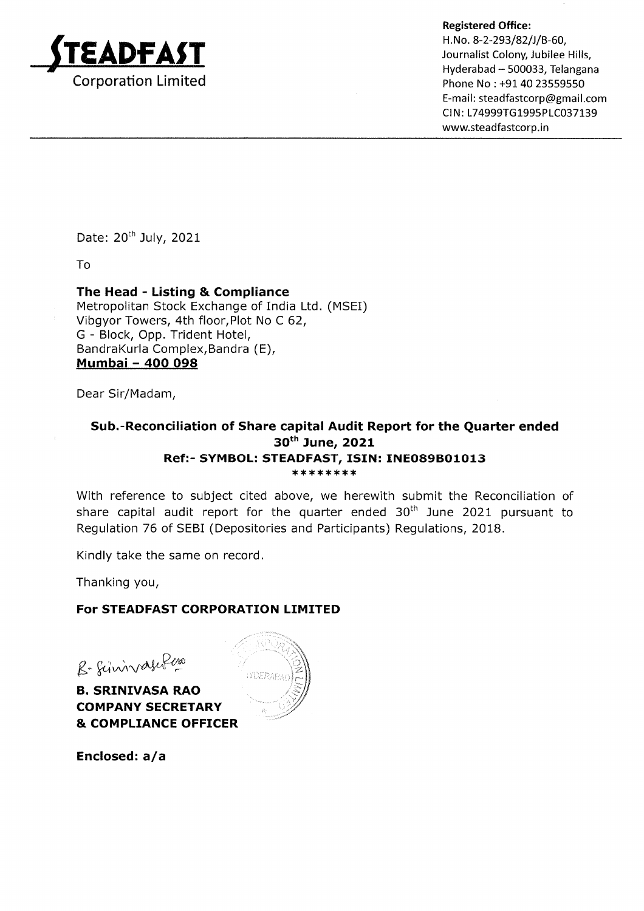

Hyderabad - 500033, Telangana Phone No : +91 40 23559550 E-ma il : steadfastcorp@gma il.com CIN: L74999TG1995PLC037139 www.steadfastcorp.in

Date: 20<sup>th</sup> July, 2021

To

### The Head - Listing & Compliance

Metropolitan Stock Exchange of India Ltd. (MSEI) Vibgyor Towers, 4th floor,Plot No C 62, G - Block, Opp. Trident Hotel, BandraKurla Complex,Bandra (E), Mumbai - 4OO O98

Dear Sir/Madam,

#### Sub.-Reconciliation of Share capital Audit Report for the Quarter ended 30<sup>th</sup> June, 2021 Ref:- SYMBOL: STEADFAST, ISIN: INE089B01013 \*\*\*\*\*\*\*\*

With reference to subject cited above, we herewith submit the Reconciliation of share capital audit report for the quarter ended  $30<sup>th</sup>$  June 2021 pursuant to Regulation 76 of SEBI (Depositories and Participants) Regulations, 2018.

Kindly take the same on record

Thanking you,

### For STEADFAST CORPORATION LIMITED

 $g$ -fininvasifico

B. SRINIVASA RAO \ COMPANY SECRETARY & COMPLIANCE OFFICER

Enclosed:  $a/a$ 

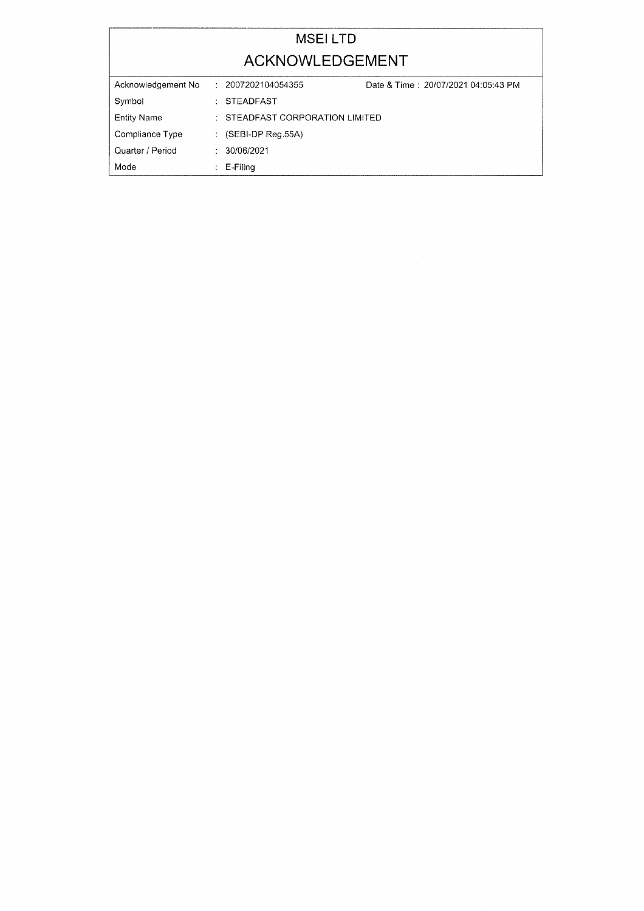## MSEI LTD ACKNOWLEDGEMENT

| Acknowledgement No | 2007202104054355                    | Date & Time: 20/07/2021 04:05:43 PM |  |
|--------------------|-------------------------------------|-------------------------------------|--|
| Symbol             | : STEADFAST                         |                                     |  |
| <b>Entity Name</b> | $\pm$ STEADFAST CORPORATION LIMITED |                                     |  |
| Compliance Type    | : $(SEBI-DP$ Reg.55A)               |                                     |  |
| Quarter / Period   | $\cdot$ 30/06/2021                  |                                     |  |
| Mode               | $E-Filing$                          |                                     |  |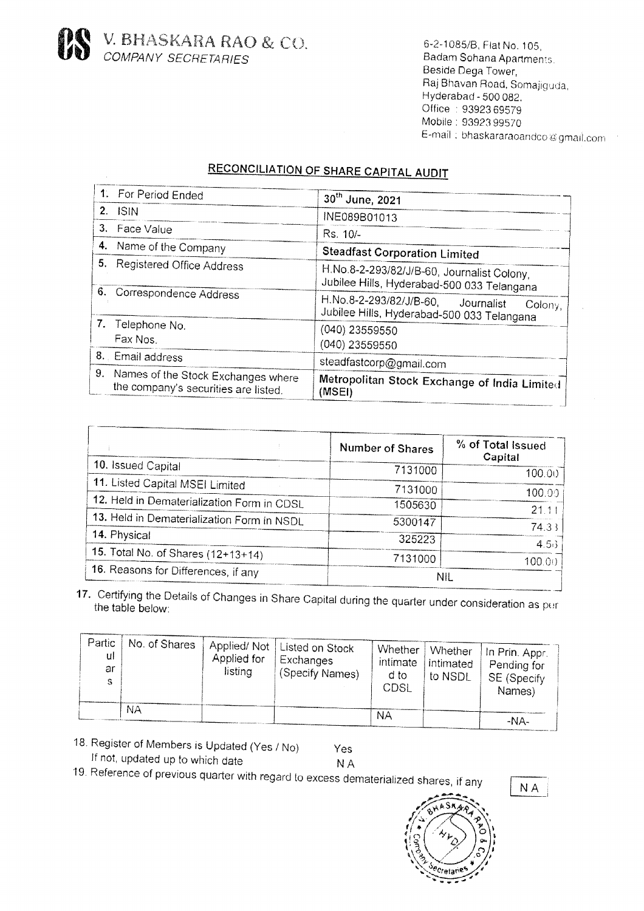

6-2-1085/B, Flat No. 105, Badam Sohana Apartments. Beside Dega Tower, Raj Bhavan Road, Somajiguda, Hyderabad - 500 082. Office: 93923 69579 Mobile: 93923 99570 E-mail: bhaskararaoandco@gmail.com

# **RECONCILIATION OF SHARE CAPITAL AUDIT**

|    | 1. For Period Ended                                                           | 30th June, 2021                                                                             |  |  |
|----|-------------------------------------------------------------------------------|---------------------------------------------------------------------------------------------|--|--|
|    | $2.$ ISIN                                                                     | INE089B01013                                                                                |  |  |
|    | 3. Face Value                                                                 | Rs. 10/-                                                                                    |  |  |
|    | 4. Name of the Company                                                        | <b>Steadfast Corporation Limited</b>                                                        |  |  |
| 5. | <b>Registered Office Address</b>                                              | H.No.8-2-293/82/J/B-60, Journalist Colony,<br>Jubilee Hills, Hyderabad-500 033 Telangana    |  |  |
|    | 6. Correspondence Address                                                     | H.No.8-2-293/82/J/B-60, Journalist<br>Colony,<br>Jubilee Hills, Hyderabad-500 033 Telangana |  |  |
|    | 7. Telephone No.<br>Fax Nos.                                                  | $(040)$ 23559550<br>(040) 23559550                                                          |  |  |
|    | 8. Email address                                                              | steadfastcorp@gmail.com                                                                     |  |  |
|    | 9. Names of the Stock Exchanges where<br>the company's securities are listed. | Metropolitan Stock Exchange of India Limited<br>(MSEI)                                      |  |  |
|    |                                                                               |                                                                                             |  |  |

|                                            | Number of Shares | % of Total Issued<br>Capital |
|--------------------------------------------|------------------|------------------------------|
| 10. Issued Capital                         | 7131000          | 100.00                       |
| 11. Listed Capital MSEI Limited            | 7131000          | 100.00                       |
| 12. Held in Dematerialization Form in CDSL | 1505630          | 21.11                        |
| 13. Held in Dematerialization Form in NSDL | 5300147          | 74.33                        |
| 14. Physical                               | 325223           | 4.5.3                        |
| 15. Total No. of Shares (12+13+14)         | 7131000          | 100.00                       |
| 16. Reasons for Differences, if any        | NIL              |                              |

17. Certifying the Details of Changes in Share Capital during the quarter under consideration as per the table below:

| Partic<br>ul<br>ar<br>S | No. of Shares | Applied for<br>listing | Applied/Not   Listed on Stock<br>Exchanges<br>, (Specify Names) | Whether '<br>intimate<br>d to<br>CDSI. | <b>Whether</b><br>  intimated<br>to NSDL | (In Prin. Appr.)<br>Pending for<br>SE (Specify<br>Names) |
|-------------------------|---------------|------------------------|-----------------------------------------------------------------|----------------------------------------|------------------------------------------|----------------------------------------------------------|
|                         | NА            |                        |                                                                 | NΑ                                     |                                          |                                                          |
|                         |               |                        |                                                                 |                                        |                                          | $-NA$ -                                                  |

18. Register of Members is Updated (Yes / No) If not, updated up to which date

Yes **NA** 

19. Reference of previous quarter with regard to excess dematerialized shares, if any